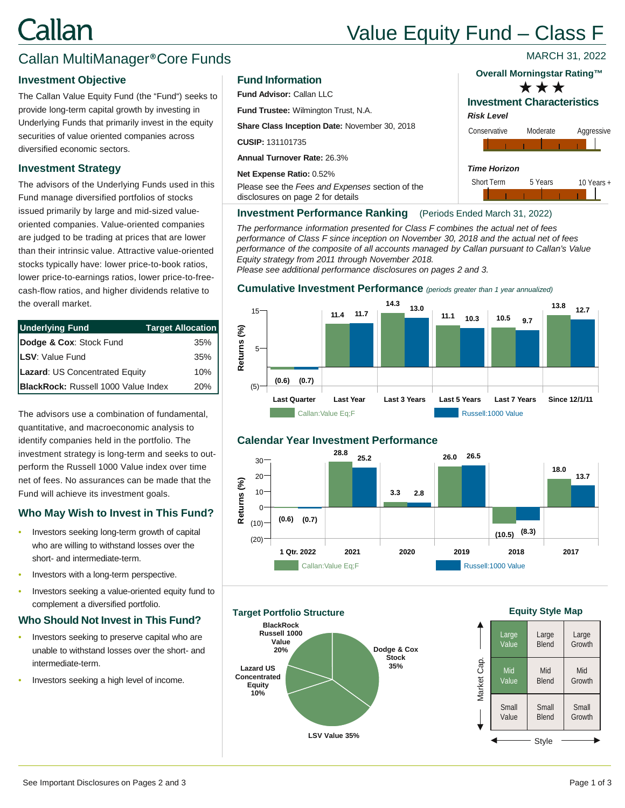# Callan

## Value Equity Fund – Class F

*Risk Level*

*Time Horizon*

Short Term 5 Years 10 Years +

Conservative Moderate Aggressive

**Investment Characteristics**

**Overall Morningstar Rating™** \*\*\*

### Callan MultiManager®Core Funds

#### **Investment Objective**

The Callan Value Equity Fund (the "Fund") seeks to provide long-term capital growth by investing in Underlying Funds that primarily invest in the equity securities of value oriented companies across diversified economic sectors.

#### **Investment Strategy**

The advisors of the Underlying Funds used in this Fund manage diversified portfolios of stocks issued primarily by large and mid-sized valueoriented companies. Value-oriented companies are judged to be trading at prices that are lower than their intrinsic value. Attractive value-oriented stocks typically have: lower price-to-book ratios, lower price-to-earnings ratios, lower price-to-freecash-flow ratios, and higher dividends relative to the overall market.

| <b>Underlying Fund</b>              | <b>Target Allocation</b> |
|-------------------------------------|--------------------------|
| Dodge & Cox: Stock Fund             | $35\%$                   |
| LSV: Value Fund                     | $35\%$                   |
| Lazard: US Concentrated Equity      | $10\%$                   |
| BlackRock: Russell 1000 Value Index | $20\%$                   |

The advisors use a combination of fundamental, quantitative, and macroeconomic analysis to identify companies held in the portfolio. The investment strategy is long-term and seeks to outperform the Russell 1000 Value index over time net of fees. No assurances can be made that the Fund will achieve its investment goals.

#### **Who May Wish to Invest in This Fund?**

- Investors seeking long-term growth of capital who are willing to withstand losses over the short- and intermediate-term.
- Investors with a long-term perspective.
- Investors seeking a value-oriented equity fund to complement a diversified portfolio.

#### **Who Should Not Invest in This Fund?**

- Investors seeking to preserve capital who are unable to withstand losses over the short- and intermediate-term.
- Investors seeking a high level of income.

#### **Fund Information**

**Fund Advisor:** Callan LLC

**Fund Trustee:** Wilmington Trust, N.A.

**Share Class Inception Date:** November 30, 2018

**CUSIP:** 131101735

**Annual Turnover Rate:** 26.3%

**Net Expense Ratio:** 0.52%

Please see the *Fees and Expenses* section of the disclosures on page 2 for details

#### **Investment Performance Ranking** (Periods Ended March 31, 2022)

*The performance information presented for Class F combines the actual net of fees performance of Class F since inception on November 30, 2018 and the actual net of fees performance of the composite of all accounts managed by Callan pursuant to Callan's Value Equity strategy from 2011 through November 2018.* 

*Please see additional performance disclosures on pages 2 and 3.*

#### **Cumulative Investment Performance** *(periods greater than 1 year annualized)*



#### **Calendar Year Investment Performance**



**Dodge & Cox Stock 35% LSV Value 35% Lazard US Concentrated Equity 10% BlackRock Russell 1000 Value 20% Target Portfolio Structure**

#### **Equity Style Map**



MARCH 31, 2022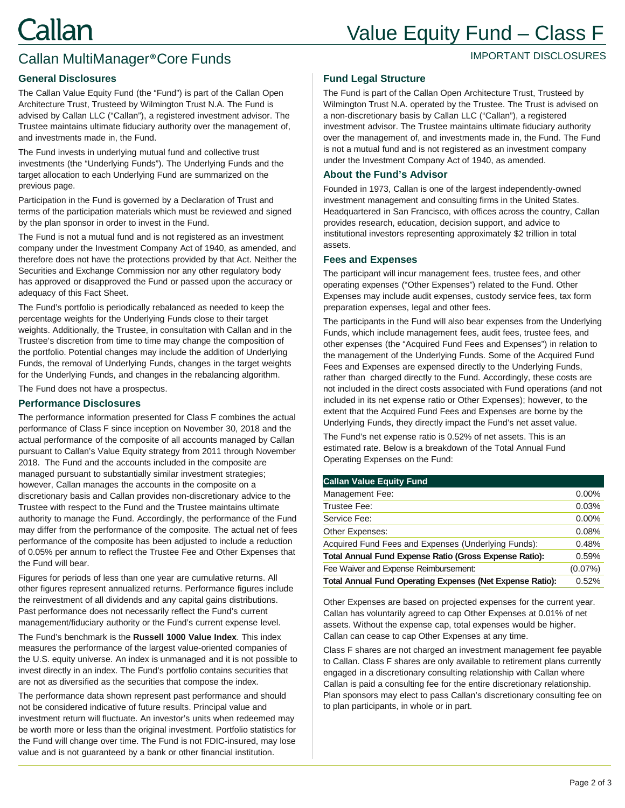## Value Equity Fund – Class F

#### IMPORTANT DISCLOSURES

## Callan MultiManager®Core Funds

#### **General Disclosures**

The Callan Value Equity Fund (the "Fund") is part of the Callan Open Architecture Trust, Trusteed by Wilmington Trust N.A. The Fund is advised by Callan LLC ("Callan"), a registered investment advisor. The Trustee maintains ultimate fiduciary authority over the management of, and investments made in, the Fund.

The Fund invests in underlying mutual fund and collective trust investments (the "Underlying Funds"). The Underlying Funds and the target allocation to each Underlying Fund are summarized on the previous page.

Participation in the Fund is governed by a Declaration of Trust and terms of the participation materials which must be reviewed and signed by the plan sponsor in order to invest in the Fund.

The Fund is not a mutual fund and is not registered as an investment company under the Investment Company Act of 1940, as amended, and therefore does not have the protections provided by that Act. Neither the Securities and Exchange Commission nor any other regulatory body has approved or disapproved the Fund or passed upon the accuracy or adequacy of this Fact Sheet.

The Fund's portfolio is periodically rebalanced as needed to keep the percentage weights for the Underlying Funds close to their target weights. Additionally, the Trustee, in consultation with Callan and in the Trustee's discretion from time to time may change the composition of the portfolio. Potential changes may include the addition of Underlying Funds, the removal of Underlying Funds, changes in the target weights for the Underlying Funds, and changes in the rebalancing algorithm.

The Fund does not have a prospectus.

#### **Performance Disclosures**

The performance information presented for Class F combines the actual performance of Class F since inception on November 30, 2018 and the actual performance of the composite of all accounts managed by Callan pursuant to Callan's Value Equity strategy from 2011 through November 2018. The Fund and the accounts included in the composite are managed pursuant to substantially similar investment strategies; however, Callan manages the accounts in the composite on a discretionary basis and Callan provides non-discretionary advice to the Trustee with respect to the Fund and the Trustee maintains ultimate authority to manage the Fund. Accordingly, the performance of the Fund may differ from the performance of the composite. The actual net of fees performance of the composite has been adjusted to include a reduction of 0.05% per annum to reflect the Trustee Fee and Other Expenses that the Fund will bear.

Figures for periods of less than one year are cumulative returns. All other figures represent annualized returns. Performance figures include the reinvestment of all dividends and any capital gains distributions. Past performance does not necessarily reflect the Fund's current management/fiduciary authority or the Fund's current expense level.

The Fund's benchmark is the **Russell 1000 Value Index**. This index measures the performance of the largest value-oriented companies of the U.S. equity universe. An index is unmanaged and it is not possible to invest directly in an index. The Fund's portfolio contains securities that are not as diversified as the securities that compose the index.

The performance data shown represent past performance and should not be considered indicative of future results. Principal value and investment return will fluctuate. An investor's units when redeemed may be worth more or less than the original investment. Portfolio statistics for the Fund will change over time. The Fund is not FDIC-insured, may lose value and is not guaranteed by a bank or other financial institution.

#### **Fund Legal Structure**

The Fund is part of the Callan Open Architecture Trust, Trusteed by Wilmington Trust N.A. operated by the Trustee. The Trust is advised on a non-discretionary basis by Callan LLC ("Callan"), a registered investment advisor. The Trustee maintains ultimate fiduciary authority over the management of, and investments made in, the Fund. The Fund is not a mutual fund and is not registered as an investment company under the Investment Company Act of 1940, as amended.

#### **About the Fund's Advisor**

Founded in 1973, Callan is one of the largest independently-owned investment management and consulting firms in the United States. Headquartered in San Francisco, with offices across the country, Callan provides research, education, decision support, and advice to institutional investors representing approximately \$2 trillion in total assets.

#### **Fees and Expenses**

The participant will incur management fees, trustee fees, and other operating expenses ("Other Expenses") related to the Fund. Other Expenses may include audit expenses, custody service fees, tax form preparation expenses, legal and other fees.

The participants in the Fund will also bear expenses from the Underlying Funds, which include management fees, audit fees, trustee fees, and other expenses (the "Acquired Fund Fees and Expenses") in relation to the management of the Underlying Funds. Some of the Acquired Fund Fees and Expenses are expensed directly to the Underlying Funds, rather than charged directly to the Fund. Accordingly, these costs are not included in the direct costs associated with Fund operations (and not included in its net expense ratio or Other Expenses); however, to the extent that the Acquired Fund Fees and Expenses are borne by the Underlying Funds, they directly impact the Fund's net asset value.

The Fund's net expense ratio is 0.52% of net assets. This is an estimated rate. Below is a breakdown of the Total Annual Fund Operating Expenses on the Fund:

| <b>Callan Value Equity Fund</b>                               |            |
|---------------------------------------------------------------|------------|
| Management Fee:                                               | $0.00\%$   |
| Trustee Fee:                                                  | 0.03%      |
| Service Fee:                                                  | 0.00%      |
| Other Expenses:                                               | 0.08%      |
| Acquired Fund Fees and Expenses (Underlying Funds):           | 0.48%      |
| <b>Total Annual Fund Expense Ratio (Gross Expense Ratio):</b> | 0.59%      |
| Fee Waiver and Expense Reimbursement:                         | $(0.07\%)$ |
| Total Annual Fund Operating Expenses (Net Expense Ratio):     | 0.52%      |
|                                                               |            |

Other Expenses are based on projected expenses for the current year. Callan has voluntarily agreed to cap Other Expenses at 0.01% of net assets. Without the expense cap, total expenses would be higher. Callan can cease to cap Other Expenses at any time.

Class F shares are not charged an investment management fee payable to Callan. Class F shares are only available to retirement plans currently engaged in a discretionary consulting relationship with Callan where Callan is paid a consulting fee for the entire discretionary relationship. Plan sponsors may elect to pass Callan's discretionary consulting fee on to plan participants, in whole or in part.